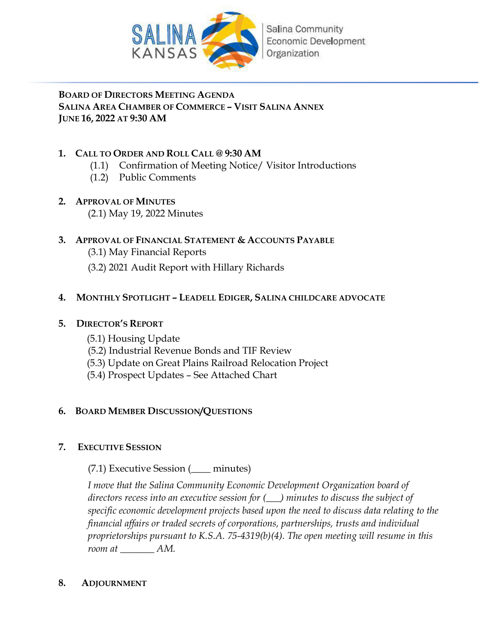

Salina Community Economic Development Organization

**BOARD OF DIRECTORS MEETING AGENDA SALINA AREA CHAMBER OF COMMERCE – VISIT SALINA ANNEX JUNE 16, 2022 AT 9:30 AM**

# **1. CALL TO ORDER AND ROLL CALL @ 9:30 AM**

- (1.1) Confirmation of Meeting Notice/ Visitor Introductions
- (1.2) Public Comments

# **2. APPROVAL OF MINUTES**

(2.1) May 19, 2022 Minutes

# **3. APPROVAL OF FINANCIAL STATEMENT & ACCOUNTS PAYABLE**

- (3.1) May Financial Reports
- (3.2) 2021 Audit Report with Hillary Richards

# **4. MONTHLY SPOTLIGHT – LEADELL EDIGER, SALINA CHILDCARE ADVOCATE**

# **5. DIRECTOR'S REPORT**

- (5.1) Housing Update
- (5.2) Industrial Revenue Bonds and TIF Review
- (5.3) Update on Great Plains Railroad Relocation Project
- (5.4) Prospect Updates See Attached Chart

# **6. BOARD MEMBER DISCUSSION/QUESTIONS**

# **7. EXECUTIVE SESSION**

(7.1) Executive Session (\_\_\_\_ minutes)

*I move that the Salina Community Economic Development Organization board of directors recess into an executive session for (\_\_\_) minutes to discuss the subject of specific economic development projects based upon the need to discuss data relating to the financial affairs or traded secrets of corporations, partnerships, trusts and individual proprietorships pursuant to K.S.A. 75-4319(b)(4). The open meeting will resume in this room at \_\_\_\_\_\_\_ AM.* 

# **8. ADJOURNMENT**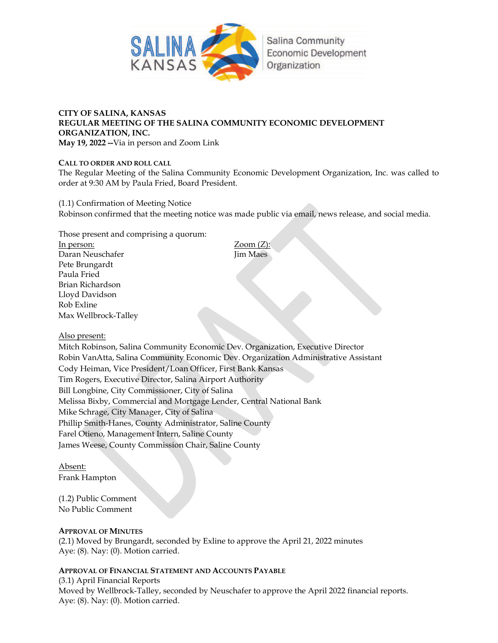

# **Salina Community Economic Development** Organization

# **CITY OF SALINA, KANSAS REGULAR MEETING OF THE SALINA COMMUNITY ECONOMIC DEVELOPMENT ORGANIZATION, INC.**

**May 19, 2022 --**Via in person and Zoom Link

### **CALL TO ORDER AND ROLL CALL**

The Regular Meeting of the Salina Community Economic Development Organization, Inc. was called to order at 9:30 AM by Paula Fried, Board President.

(1.1) Confirmation of Meeting Notice Robinson confirmed that the meeting notice was made public via email, news release, and social media.

Those present and comprising a quorum:

In person: Zoom (Z): Daran Neuschafer **Jim Maes** Pete Brungardt Paula Fried Brian Richardson Lloyd Davidson Rob Exline Max Wellbrock-Talley

### Also present:

Mitch Robinson, Salina Community Economic Dev. Organization, Executive Director Robin VanAtta, Salina Community Economic Dev. Organization Administrative Assistant Cody Heiman, Vice President/Loan Officer, First Bank Kansas Tim Rogers, Executive Director, Salina Airport Authority Bill Longbine, City Commissioner, City of Salina Melissa Bixby, Commercial and Mortgage Lender, Central National Bank Mike Schrage, City Manager, City of Salina Phillip Smith-Hanes, County Administrator, Saline County Farel Otieno, Management Intern, Saline County James Weese, County Commission Chair, Saline County

Absent: Frank Hampton

### (1.2) Public Comment No Public Comment

### **APPROVAL OF MINUTES**

(2.1) Moved by Brungardt, seconded by Exline to approve the April 21, 2022 minutes Aye: (8). Nay: (0). Motion carried.

### **APPROVAL OF FINANCIAL STATEMENT AND ACCOUNTS PAYABLE**

(3.1) April Financial Reports Moved by Wellbrock-Talley, seconded by Neuschafer to approve the April 2022 financial reports. Aye: (8). Nay: (0). Motion carried.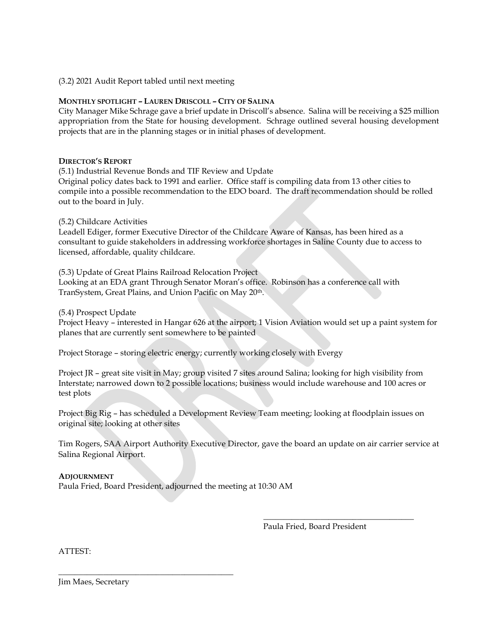### (3.2) 2021 Audit Report tabled until next meeting

### **MONTHLY SPOTLIGHT – LAUREN DRISCOLL – CITY OF SALINA**

City Manager Mike Schrage gave a brief update in Driscoll's absence. Salina will be receiving a \$25 million appropriation from the State for housing development. Schrage outlined several housing development projects that are in the planning stages or in initial phases of development.

### **DIRECTOR'S REPORT**

(5.1) Industrial Revenue Bonds and TIF Review and Update Original policy dates back to 1991 and earlier. Office staff is compiling data from 13 other cities to compile into a possible recommendation to the EDO board. The draft recommendation should be rolled out to the board in July.

### (5.2) Childcare Activities

Leadell Ediger, former Executive Director of the Childcare Aware of Kansas, has been hired as a consultant to guide stakeholders in addressing workforce shortages in Saline County due to access to licensed, affordable, quality childcare.

(5.3) Update of Great Plains Railroad Relocation Project Looking at an EDA grant Through Senator Moran's office. Robinson has a conference call with TranSystem, Great Plains, and Union Pacific on May 20th.

(5.4) Prospect Update

Project Heavy – interested in Hangar 626 at the airport; 1 Vision Aviation would set up a paint system for planes that are currently sent somewhere to be painted

Project Storage – storing electric energy; currently working closely with Evergy

Project JR – great site visit in May; group visited 7 sites around Salina; looking for high visibility from Interstate; narrowed down to 2 possible locations; business would include warehouse and 100 acres or test plots

Project Big Rig – has scheduled a Development Review Team meeting; looking at floodplain issues on original site; looking at other sites

 $\_$ 

Tim Rogers, SAA Airport Authority Executive Director, gave the board an update on air carrier service at Salina Regional Airport.

### **ADJOURNMENT**

Paula Fried, Board President, adjourned the meeting at 10:30 AM

\_\_\_\_\_\_\_\_\_\_\_\_\_\_\_\_\_\_\_\_\_\_\_\_\_\_\_\_\_\_\_\_\_\_\_\_\_\_\_\_\_\_\_

Paula Fried, Board President

ATTEST:

Jim Maes, Secretary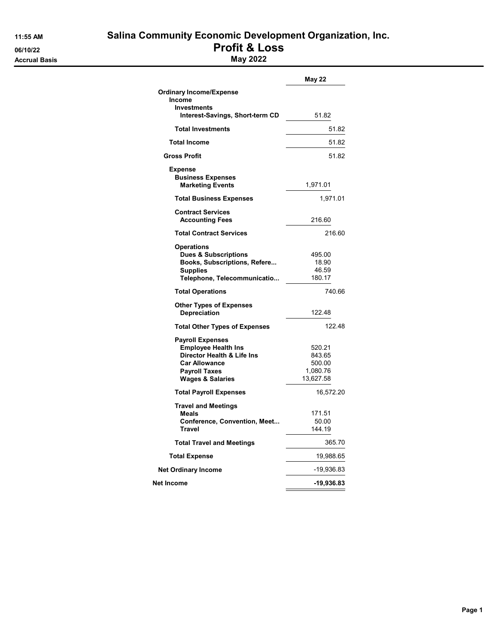06/10/22<br>Accrual Basis **Profit & LOSS**<br>May 2022 **Accrual Basis** 

# 11:55 AM Salina Community Economic Development Organization, Inc.

|                                                                                                                                                                    | May 22                                              |
|--------------------------------------------------------------------------------------------------------------------------------------------------------------------|-----------------------------------------------------|
| <b>Ordinary Income/Expense</b>                                                                                                                                     |                                                     |
| Income<br>Investments                                                                                                                                              |                                                     |
| Interest-Savings, Short-term CD                                                                                                                                    | 51.82                                               |
| <b>Total Investments</b>                                                                                                                                           | 51.82                                               |
| <b>Total Income</b>                                                                                                                                                | 51.82                                               |
| <b>Gross Profit</b>                                                                                                                                                | 51.82                                               |
| <b>Expense</b><br><b>Business Expenses</b><br><b>Marketing Events</b>                                                                                              | 1,971.01                                            |
| <b>Total Business Expenses</b>                                                                                                                                     | 1,971.01                                            |
| <b>Contract Services</b><br><b>Accounting Fees</b>                                                                                                                 | 216.60                                              |
| <b>Total Contract Services</b>                                                                                                                                     | 216.60                                              |
| <b>Operations</b><br><b>Dues &amp; Subscriptions</b><br>Books, Subscriptions, Refere<br><b>Supplies</b><br>Telephone, Telecommunicatio                             | 495.00<br>18.90<br>46.59<br>180.17                  |
| <b>Total Operations</b>                                                                                                                                            | 740.66                                              |
| <b>Other Types of Expenses</b><br><b>Depreciation</b>                                                                                                              | 122.48                                              |
| <b>Total Other Types of Expenses</b>                                                                                                                               | 122.48                                              |
| <b>Payroll Expenses</b><br><b>Employee Health Ins</b><br>Director Health & Life Ins<br><b>Car Allowance</b><br><b>Payroll Taxes</b><br><b>Wages &amp; Salaries</b> | 520.21<br>843.65<br>500.00<br>1,080.76<br>13,627.58 |
| <b>Total Payroll Expenses</b>                                                                                                                                      | 16,572.20                                           |
| <b>Travel and Meetings</b><br><b>Meals</b><br>Conference, Convention, Meet<br><b>Travel</b>                                                                        | 171.51<br>50.00<br>144.19                           |
| <b>Total Travel and Meetings</b>                                                                                                                                   | 365.70                                              |
| <b>Total Expense</b>                                                                                                                                               | 19,988.65                                           |
| <b>Net Ordinary Income</b>                                                                                                                                         | -19,936.83                                          |
| Net Income                                                                                                                                                         | -19,936.83                                          |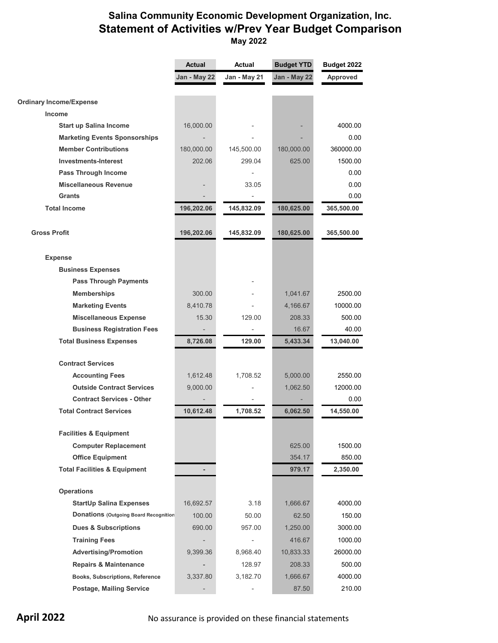# **Salina Community Economic Development Organization, Inc. Statement of Activities w/Prev Year Budget Comparison May 2022**

|                                              | <b>Actual</b> | Actual                   | <b>Budget YTD</b> | Budget 2022     |  |
|----------------------------------------------|---------------|--------------------------|-------------------|-----------------|--|
|                                              | Jan - May 22  | Jan - May 21             | Jan - May 22      | <b>Approved</b> |  |
|                                              |               |                          |                   |                 |  |
| <b>Ordinary Income/Expense</b>               |               |                          |                   |                 |  |
| <b>Income</b>                                |               |                          |                   |                 |  |
| <b>Start up Salina Income</b>                | 16,000.00     |                          |                   | 4000.00         |  |
| <b>Marketing Events Sponsorships</b>         |               |                          |                   | 0.00            |  |
| <b>Member Contributions</b>                  | 180,000.00    | 145,500.00               | 180,000.00        | 360000.00       |  |
| <b>Investments-Interest</b>                  | 202.06        | 299.04                   | 625.00            | 1500.00         |  |
| Pass Through Income                          |               |                          |                   | 0.00            |  |
| <b>Miscellaneous Revenue</b>                 |               | 33.05                    |                   | 0.00            |  |
| <b>Grants</b>                                |               |                          |                   | 0.00            |  |
| <b>Total Income</b>                          | 196,202.06    | 145,832.09               | 180,625.00        | 365,500.00      |  |
|                                              |               |                          |                   |                 |  |
| <b>Gross Profit</b>                          | 196,202.06    | 145,832.09               | 180,625.00        | 365,500.00      |  |
|                                              |               |                          |                   |                 |  |
| <b>Expense</b>                               |               |                          |                   |                 |  |
| <b>Business Expenses</b>                     |               |                          |                   |                 |  |
| <b>Pass Through Payments</b>                 |               |                          |                   |                 |  |
| <b>Memberships</b>                           | 300.00        |                          | 1,041.67          | 2500.00         |  |
| <b>Marketing Events</b>                      | 8,410.78      |                          | 4,166.67          | 10000.00        |  |
| <b>Miscellaneous Expense</b>                 | 15.30         | 129.00                   | 208.33            | 500.00          |  |
| <b>Business Registration Fees</b>            |               |                          | 16.67             | 40.00           |  |
| <b>Total Business Expenses</b>               | 8,726.08      | 129.00                   | 5,433.34          | 13,040.00       |  |
| <b>Contract Services</b>                     |               |                          |                   |                 |  |
| <b>Accounting Fees</b>                       | 1,612.48      | 1,708.52                 | 5,000.00          | 2550.00         |  |
| <b>Outside Contract Services</b>             | 9,000.00      |                          | 1,062.50          | 12000.00        |  |
| <b>Contract Services - Other</b>             |               |                          |                   | 0.00            |  |
| <b>Total Contract Services</b>               | 10,612.48     | 1,708.52                 | 6,062.50          | 14,550.00       |  |
|                                              |               |                          |                   |                 |  |
| <b>Facilities &amp; Equipment</b>            |               |                          |                   |                 |  |
| <b>Computer Replacement</b>                  |               |                          | 625.00            | 1500.00         |  |
| <b>Office Equipment</b>                      |               |                          | 354.17            | 850.00          |  |
| <b>Total Facilities &amp; Equipment</b>      |               |                          | 979.17            | 2,350.00        |  |
|                                              |               |                          |                   |                 |  |
| <b>Operations</b>                            |               |                          |                   |                 |  |
| <b>StartUp Salina Expenses</b>               | 16,692.57     | 3.18                     | 1,666.67          | 4000.00         |  |
| <b>Donations (Outgoing Board Recognition</b> | 100.00        | 50.00                    | 62.50             | 150.00          |  |
| <b>Dues &amp; Subscriptions</b>              | 690.00        | 957.00                   | 1,250.00          | 3000.00         |  |
| <b>Training Fees</b>                         |               | $\overline{\phantom{0}}$ | 416.67            | 1000.00         |  |
| <b>Advertising/Promotion</b>                 | 9,399.36      | 8,968.40                 | 10,833.33         | 26000.00        |  |
| <b>Repairs &amp; Maintenance</b>             |               | 128.97                   | 208.33            | 500.00          |  |
| Books, Subscriptions, Reference              | 3,337.80      | 3,182.70                 | 1,666.67          | 4000.00         |  |
| <b>Postage, Mailing Service</b>              |               |                          | 87.50             | 210.00          |  |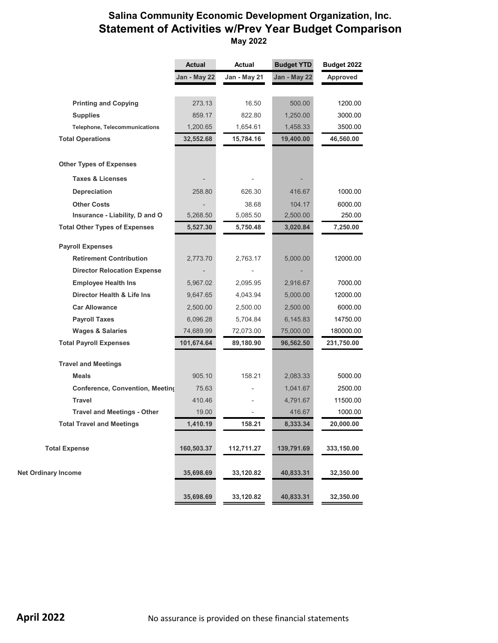# **Salina Community Economic Development Organization, Inc. Statement of Activities w/Prev Year Budget Comparison May 2022**

|                                      | <b>Actual</b> | Actual       | <b>Budget YTD</b> | Budget 2022     |
|--------------------------------------|---------------|--------------|-------------------|-----------------|
|                                      | Jan - May 22  | Jan - May 21 | Jan - May 22      | <b>Approved</b> |
|                                      |               |              |                   |                 |
| <b>Printing and Copying</b>          | 273.13        | 16.50        | 500.00            | 1200.00         |
| <b>Supplies</b>                      | 859.17        | 822.80       | 1,250.00          | 3000.00         |
| <b>Telephone, Telecommunications</b> | 1,200.65      | 1,654.61     | 1,458.33          | 3500.00         |
| <b>Total Operations</b>              | 32,552.68     | 15,784.16    | 19,400.00         | 46,560.00       |
| <b>Other Types of Expenses</b>       |               |              |                   |                 |
| <b>Taxes &amp; Licenses</b>          |               |              |                   |                 |
| Depreciation                         | 258.80        | 626.30       | 416.67            | 1000.00         |
| <b>Other Costs</b>                   |               | 38.68        | 104.17            | 6000.00         |
| Insurance - Liability, D and O       | 5,268.50      | 5,085.50     | 2,500.00          | 250.00          |
| <b>Total Other Types of Expenses</b> | 5,527.30      | 5,750.48     | 3,020.84          | 7,250.00        |
| <b>Payroll Expenses</b>              |               |              |                   |                 |
| <b>Retirement Contribution</b>       | 2,773.70      | 2,763.17     | 5,000.00          | 12000.00        |
| <b>Director Relocation Expense</b>   |               |              |                   |                 |
| <b>Employee Health Ins</b>           | 5,967.02      | 2,095.95     | 2,916.67          | 7000.00         |
| Director Health & Life Ins           | 9,647.65      | 4,043.94     | 5,000.00          | 12000.00        |
| <b>Car Allowance</b>                 | 2,500.00      | 2,500.00     | 2,500.00          | 6000.00         |
| <b>Payroll Taxes</b>                 | 6,096.28      | 5,704.84     | 6,145.83          | 14750.00        |
| <b>Wages &amp; Salaries</b>          | 74,689.99     | 72,073.00    | 75,000.00         | 180000.00       |
| <b>Total Payroll Expenses</b>        | 101,674.64    | 89,180.90    | 96,562.50         | 231,750.00      |
| <b>Travel and Meetings</b>           |               |              |                   |                 |
| <b>Meals</b>                         | 905.10        | 158.21       | 2,083.33          | 5000.00         |
| Conference, Convention, Meeting      | 75.63         |              | 1,041.67          | 2500.00         |
| <b>Travel</b>                        | 410.46        |              | 4,791.67          | 11500.00        |
| <b>Travel and Meetings - Other</b>   | 19.00         |              | 416.67            | 1000.00         |
| <b>Total Travel and Meetings</b>     | 1,410.19      | 158.21       | 8,333.34          | 20,000.00       |
|                                      |               |              |                   |                 |
| <b>Total Expense</b>                 | 160,503.37    | 112,711.27   | 139,791.69        | 333,150.00      |
| <b>Net Ordinary Income</b>           | 35,698.69     | 33,120.82    | 40,833.31         | 32,350.00       |
|                                      | 35,698.69     | 33,120.82    | 40,833.31         | 32,350.00       |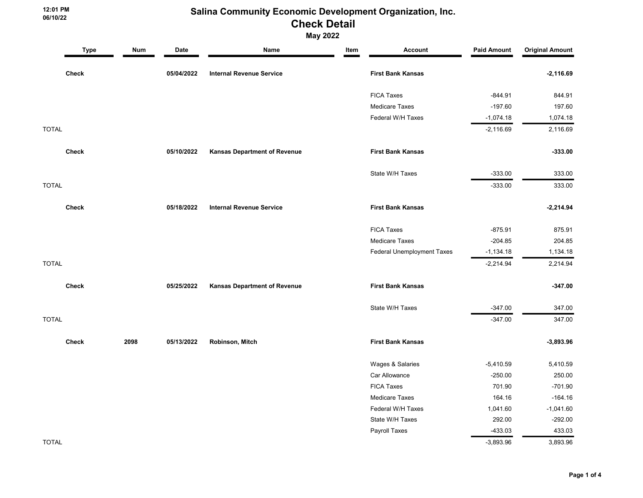12:01 PM 06/10/22

May 2022

|              | <b>Type</b>  | <b>Num</b> | Date       | Name                                | Item | <b>Account</b>                    | <b>Paid Amount</b> | <b>Original Amount</b> |
|--------------|--------------|------------|------------|-------------------------------------|------|-----------------------------------|--------------------|------------------------|
|              | <b>Check</b> |            | 05/04/2022 | <b>Internal Revenue Service</b>     |      | <b>First Bank Kansas</b>          |                    | $-2,116.69$            |
|              |              |            |            |                                     |      | <b>FICA Taxes</b>                 | $-844.91$          | 844.91                 |
|              |              |            |            |                                     |      | <b>Medicare Taxes</b>             | $-197.60$          | 197.60                 |
|              |              |            |            |                                     |      | Federal W/H Taxes                 | $-1,074.18$        | 1,074.18               |
| <b>TOTAL</b> |              |            |            |                                     |      |                                   | $-2,116.69$        | 2,116.69               |
|              | <b>Check</b> |            | 05/10/2022 | Kansas Department of Revenue        |      | <b>First Bank Kansas</b>          |                    | $-333.00$              |
|              |              |            |            |                                     |      | State W/H Taxes                   | $-333.00$          | 333.00                 |
| <b>TOTAL</b> |              |            |            |                                     |      |                                   | $-333.00$          | 333.00                 |
|              | <b>Check</b> |            | 05/18/2022 | <b>Internal Revenue Service</b>     |      | <b>First Bank Kansas</b>          |                    | $-2,214.94$            |
|              |              |            |            |                                     |      | <b>FICA Taxes</b>                 | $-875.91$          | 875.91                 |
|              |              |            |            |                                     |      | <b>Medicare Taxes</b>             | $-204.85$          | 204.85                 |
|              |              |            |            |                                     |      | <b>Federal Unemployment Taxes</b> | $-1,134.18$        | 1,134.18               |
| <b>TOTAL</b> |              |            |            |                                     |      |                                   | $-2,214.94$        | 2,214.94               |
|              | <b>Check</b> |            | 05/25/2022 | <b>Kansas Department of Revenue</b> |      | <b>First Bank Kansas</b>          |                    | $-347.00$              |
|              |              |            |            |                                     |      | State W/H Taxes                   | $-347.00$          | 347.00                 |
| <b>TOTAL</b> |              |            |            |                                     |      |                                   | $-347.00$          | 347.00                 |
|              | <b>Check</b> | 2098       | 05/13/2022 | Robinson, Mitch                     |      | <b>First Bank Kansas</b>          |                    | $-3,893.96$            |
|              |              |            |            |                                     |      | Wages & Salaries                  | $-5,410.59$        | 5,410.59               |
|              |              |            |            |                                     |      | Car Allowance                     | $-250.00$          | 250.00                 |
|              |              |            |            |                                     |      | <b>FICA Taxes</b>                 | 701.90             | $-701.90$              |
|              |              |            |            |                                     |      | <b>Medicare Taxes</b>             | 164.16             | $-164.16$              |
|              |              |            |            |                                     |      | Federal W/H Taxes                 | 1,041.60           | $-1,041.60$            |
|              |              |            |            |                                     |      | State W/H Taxes                   | 292.00             | $-292.00$              |
|              |              |            |            |                                     |      | Payroll Taxes                     | $-433.03$          | 433.03                 |
| <b>TOTAL</b> |              |            |            |                                     |      |                                   | $-3,893.96$        | 3,893.96               |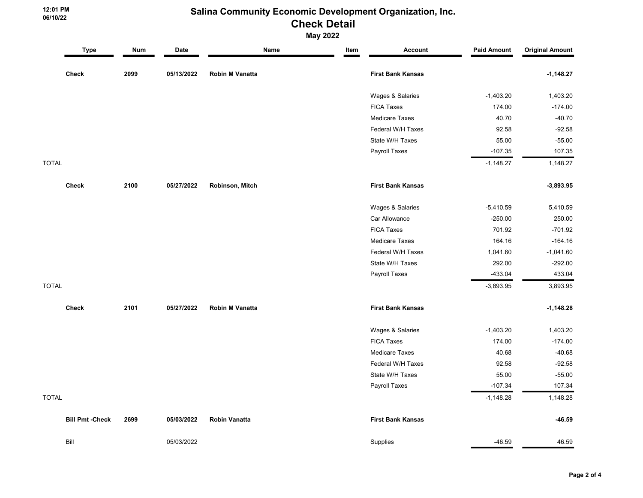12:01 PM 06/10/22

## May 2022

|              | <b>Type</b>            | <b>Num</b> | Date       | Name                 | Item | <b>Account</b>           | <b>Paid Amount</b> | <b>Original Amount</b> |
|--------------|------------------------|------------|------------|----------------------|------|--------------------------|--------------------|------------------------|
|              | <b>Check</b>           | 2099       | 05/13/2022 | Robin M Vanatta      |      | <b>First Bank Kansas</b> |                    | $-1,148.27$            |
|              |                        |            |            |                      |      | Wages & Salaries         | $-1,403.20$        | 1,403.20               |
|              |                        |            |            |                      |      | <b>FICA Taxes</b>        | 174.00             | $-174.00$              |
|              |                        |            |            |                      |      | <b>Medicare Taxes</b>    | 40.70              | $-40.70$               |
|              |                        |            |            |                      |      | Federal W/H Taxes        | 92.58              | $-92.58$               |
|              |                        |            |            |                      |      | State W/H Taxes          | 55.00              | $-55.00$               |
|              |                        |            |            |                      |      | Payroll Taxes            | $-107.35$          | 107.35                 |
| <b>TOTAL</b> |                        |            |            |                      |      |                          | $-1,148.27$        | 1,148.27               |
|              | <b>Check</b>           | 2100       | 05/27/2022 | Robinson, Mitch      |      | <b>First Bank Kansas</b> |                    | $-3,893.95$            |
|              |                        |            |            |                      |      | Wages & Salaries         | $-5,410.59$        | 5,410.59               |
|              |                        |            |            |                      |      | Car Allowance            | $-250.00$          | 250.00                 |
|              |                        |            |            |                      |      | <b>FICA Taxes</b>        | 701.92             | $-701.92$              |
|              |                        |            |            |                      |      | <b>Medicare Taxes</b>    | 164.16             | $-164.16$              |
|              |                        |            |            |                      |      | Federal W/H Taxes        | 1,041.60           | $-1,041.60$            |
|              |                        |            |            |                      |      | State W/H Taxes          | 292.00             | $-292.00$              |
|              |                        |            |            |                      |      | Payroll Taxes            | $-433.04$          | 433.04                 |
| <b>TOTAL</b> |                        |            |            |                      |      |                          | $-3,893.95$        | 3,893.95               |
|              | <b>Check</b>           | 2101       | 05/27/2022 | Robin M Vanatta      |      | <b>First Bank Kansas</b> |                    | $-1,148.28$            |
|              |                        |            |            |                      |      | Wages & Salaries         | $-1,403.20$        | 1,403.20               |
|              |                        |            |            |                      |      | <b>FICA Taxes</b>        | 174.00             | $-174.00$              |
|              |                        |            |            |                      |      | <b>Medicare Taxes</b>    | 40.68              | $-40.68$               |
|              |                        |            |            |                      |      | Federal W/H Taxes        | 92.58              | $-92.58$               |
|              |                        |            |            |                      |      | State W/H Taxes          | 55.00              | $-55.00$               |
|              |                        |            |            |                      |      | Payroll Taxes            | $-107.34$          | 107.34                 |
| <b>TOTAL</b> |                        |            |            |                      |      |                          | $-1,148.28$        | 1,148.28               |
|              | <b>Bill Pmt -Check</b> | 2699       | 05/03/2022 | <b>Robin Vanatta</b> |      | <b>First Bank Kansas</b> |                    | $-46.59$               |
|              | Bill                   |            | 05/03/2022 |                      |      | Supplies                 | $-46.59$           | 46.59                  |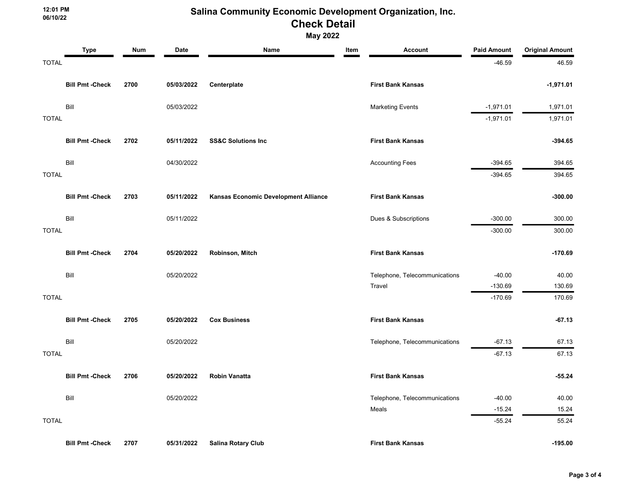12:01 PM 06/10/22

May 2022

|              | <b>Type</b>            | Num  | Date       | Name                                 | Item | <b>Account</b>                | <b>Paid Amount</b> | <b>Original Amount</b> |
|--------------|------------------------|------|------------|--------------------------------------|------|-------------------------------|--------------------|------------------------|
| <b>TOTAL</b> |                        |      |            |                                      |      |                               | $-46.59$           | 46.59                  |
|              | <b>Bill Pmt -Check</b> | 2700 | 05/03/2022 | Centerplate                          |      | <b>First Bank Kansas</b>      |                    | $-1,971.01$            |
|              | Bill                   |      | 05/03/2022 |                                      |      | <b>Marketing Events</b>       | $-1,971.01$        | 1,971.01               |
| <b>TOTAL</b> |                        |      |            |                                      |      |                               | $-1,971.01$        | 1,971.01               |
|              | <b>Bill Pmt -Check</b> | 2702 | 05/11/2022 | <b>SS&amp;C Solutions Inc</b>        |      | <b>First Bank Kansas</b>      |                    | $-394.65$              |
|              | Bill                   |      | 04/30/2022 |                                      |      | <b>Accounting Fees</b>        | $-394.65$          | 394.65                 |
| <b>TOTAL</b> |                        |      |            |                                      |      |                               | $-394.65$          | 394.65                 |
|              | <b>Bill Pmt -Check</b> | 2703 | 05/11/2022 | Kansas Economic Development Alliance |      | <b>First Bank Kansas</b>      |                    | $-300.00$              |
|              | Bill                   |      | 05/11/2022 |                                      |      | Dues & Subscriptions          | $-300.00$          | 300.00                 |
| <b>TOTAL</b> |                        |      |            |                                      |      |                               | $-300.00$          | 300.00                 |
|              | <b>Bill Pmt -Check</b> | 2704 | 05/20/2022 | Robinson, Mitch                      |      | <b>First Bank Kansas</b>      |                    | $-170.69$              |
|              | Bill                   |      | 05/20/2022 |                                      |      | Telephone, Telecommunications | $-40.00$           | 40.00                  |
|              |                        |      |            |                                      |      | Travel                        | $-130.69$          | 130.69                 |
| <b>TOTAL</b> |                        |      |            |                                      |      |                               | $-170.69$          | 170.69                 |
|              | <b>Bill Pmt -Check</b> | 2705 | 05/20/2022 | <b>Cox Business</b>                  |      | <b>First Bank Kansas</b>      |                    | $-67.13$               |
|              | Bill                   |      | 05/20/2022 |                                      |      | Telephone, Telecommunications | $-67.13$           | 67.13                  |
| <b>TOTAL</b> |                        |      |            |                                      |      |                               | $-67.13$           | 67.13                  |
|              | <b>Bill Pmt -Check</b> | 2706 | 05/20/2022 | <b>Robin Vanatta</b>                 |      | <b>First Bank Kansas</b>      |                    | $-55.24$               |
|              | Bill                   |      | 05/20/2022 |                                      |      | Telephone, Telecommunications | $-40.00$           | 40.00                  |
|              |                        |      |            |                                      |      | Meals                         | $-15.24$           | 15.24                  |
| <b>TOTAL</b> |                        |      |            |                                      |      |                               | $-55.24$           | 55.24                  |
|              | <b>Bill Pmt -Check</b> | 2707 | 05/31/2022 | <b>Salina Rotary Club</b>            |      | <b>First Bank Kansas</b>      |                    | $-195.00$              |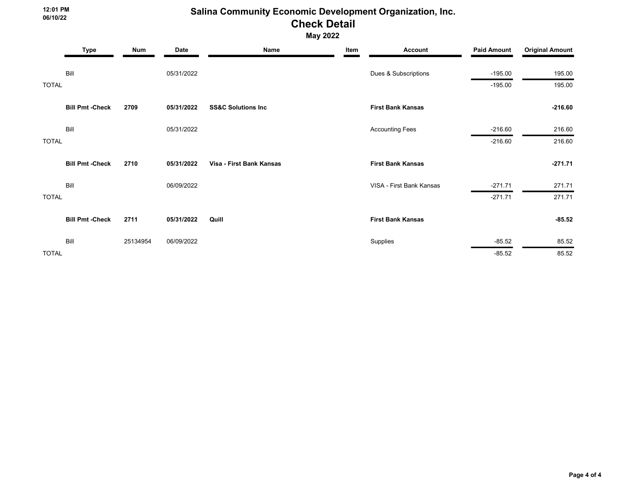12:01 PM 06/10/22

May 2022

|              | <b>Type</b>            | <b>Num</b> | Date       | Name                          | Item | <b>Account</b>           | <b>Paid Amount</b> | <b>Original Amount</b> |
|--------------|------------------------|------------|------------|-------------------------------|------|--------------------------|--------------------|------------------------|
|              | Bill                   |            | 05/31/2022 |                               |      | Dues & Subscriptions     | $-195.00$          | 195.00                 |
| <b>TOTAL</b> |                        |            |            |                               |      |                          | $-195.00$          | 195.00                 |
|              | <b>Bill Pmt -Check</b> | 2709       | 05/31/2022 | <b>SS&amp;C Solutions Inc</b> |      | <b>First Bank Kansas</b> |                    | $-216.60$              |
|              | Bill                   |            | 05/31/2022 |                               |      | <b>Accounting Fees</b>   | $-216.60$          | 216.60                 |
| <b>TOTAL</b> |                        |            |            |                               |      |                          | $-216.60$          | 216.60                 |
|              | <b>Bill Pmt -Check</b> | 2710       | 05/31/2022 | Visa - First Bank Kansas      |      | <b>First Bank Kansas</b> |                    | $-271.71$              |
|              | Bill                   |            | 06/09/2022 |                               |      | VISA - First Bank Kansas | $-271.71$          | 271.71                 |
| <b>TOTAL</b> |                        |            |            |                               |      |                          | $-271.71$          | 271.71                 |
|              | <b>Bill Pmt -Check</b> | 2711       | 05/31/2022 | Quill                         |      | <b>First Bank Kansas</b> |                    | $-85.52$               |
|              | Bill                   | 25134954   | 06/09/2022 |                               |      | Supplies                 | $-85.52$           | 85.52                  |
| <b>TOTAL</b> |                        |            |            |                               |      |                          | $-85.52$           | 85.52                  |

Page 4 of 4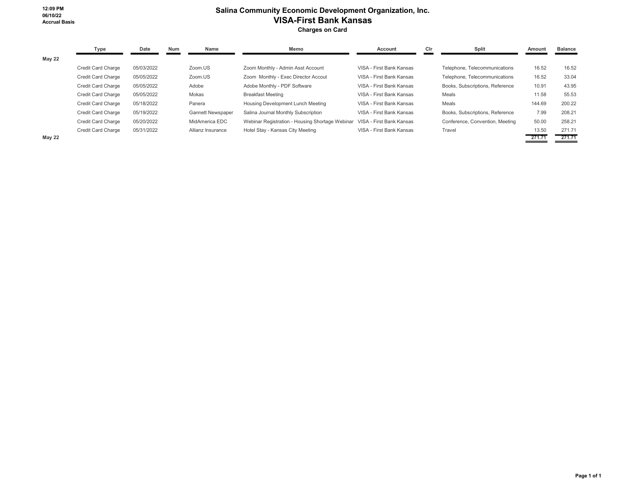### Salina Community Economic Development Organization, Inc. VISA-First Bank Kansas Charges on Card

|               | Type               | Date       | <b>Num</b> | Name                     | Memo                                            | Account                  | Cir | Split                           | Amount | <b>Balance</b> |
|---------------|--------------------|------------|------------|--------------------------|-------------------------------------------------|--------------------------|-----|---------------------------------|--------|----------------|
| <b>May 22</b> |                    |            |            |                          |                                                 |                          |     |                                 |        |                |
|               | Credit Card Charge | 05/03/2022 |            | Zoom.US                  | Zoom Monthly - Admin Asst Account               | VISA - First Bank Kansas |     | Telephone, Telecommunications   | 16.52  | 16.52          |
|               | Credit Card Charge | 05/05/2022 |            | Zoom.US                  | Zoom Monthly - Exec Director Accout             | VISA - First Bank Kansas |     | Telephone, Telecommunications   | 16.52  | 33.04          |
|               | Credit Card Charge | 05/05/2022 |            | Adobe                    | Adobe Monthly - PDF Software                    | VISA - First Bank Kansas |     | Books, Subscriptions, Reference | 10.91  | 43.95          |
|               | Credit Card Charge | 05/05/2022 |            | Mokas                    | <b>Breakfast Meeting</b>                        | VISA - First Bank Kansas |     | Meals                           | 11.58  | 55.53          |
|               | Credit Card Charge | 05/18/2022 |            | Panera                   | Housing Development Lunch Meeting               | VISA - First Bank Kansas |     | Meals                           | 144.69 | 200.22         |
|               | Credit Card Charge | 05/19/2022 |            | <b>Gannett Newspaper</b> | Salina Journal Monthly Subscription             | VISA - First Bank Kansas |     | Books, Subscriptions, Reference | 7.99   | 208.21         |
|               | Credit Card Charge | 05/20/2022 |            | MidAmerica EDC           | Webinar Registration - Housing Shortage Webinar | VISA - First Bank Kansas |     | Conference, Convention, Meeting | 50.00  | 258.21         |
|               | Credit Card Charge | 05/31/2022 |            | Allianz Insurance        | Hotel Stay - Kansas City Meeting                | VISA - First Bank Kansas |     | Travel                          | 13.50  | 271.71         |
| <b>May 22</b> |                    |            |            |                          |                                                 |                          |     |                                 | 271.71 | 271.71         |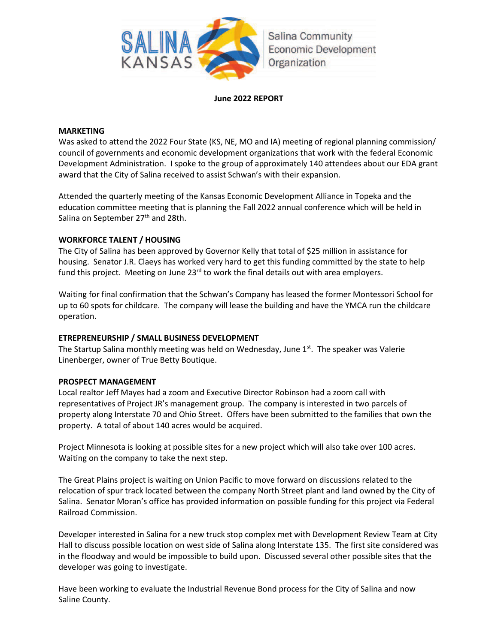

### **June 2022 REPORT**

### **MARKETING**

Was asked to attend the 2022 Four State (KS, NE, MO and IA) meeting of regional planning commission/ council of governments and economic development organizations that work with the federal Economic Development Administration. I spoke to the group of approximately 140 attendees about our EDA grant award that the City of Salina received to assist Schwan's with their expansion.

Attended the quarterly meeting of the Kansas Economic Development Alliance in Topeka and the education committee meeting that is planning the Fall 2022 annual conference which will be held in Salina on September 27<sup>th</sup> and 28th.

### **WORKFORCE TALENT / HOUSING**

The City of Salina has been approved by Governor Kelly that total of \$25 million in assistance for housing. Senator J.R. Claeys has worked very hard to get this funding committed by the state to help fund this project. Meeting on June  $23<sup>rd</sup>$  to work the final details out with area employers.

Waiting for final confirmation that the Schwan's Company has leased the former Montessori School for up to 60 spots for childcare. The company will lease the building and have the YMCA run the childcare operation.

### **ETREPRENEURSHIP / SMALL BUSINESS DEVELOPMENT**

The Startup Salina monthly meeting was held on Wednesday, June 1<sup>st</sup>. The speaker was Valerie Linenberger, owner of True Betty Boutique.

### **PROSPECT MANAGEMENT**

Local realtor Jeff Mayes had a zoom and Executive Director Robinson had a zoom call with representatives of Project JR's management group. The company is interested in two parcels of property along Interstate 70 and Ohio Street. Offers have been submitted to the families that own the property. A total of about 140 acres would be acquired.

Project Minnesota is looking at possible sites for a new project which will also take over 100 acres. Waiting on the company to take the next step.

The Great Plains project is waiting on Union Pacific to move forward on discussions related to the relocation of spur track located between the company North Street plant and land owned by the City of Salina. Senator Moran's office has provided information on possible funding for this project via Federal Railroad Commission.

Developer interested in Salina for a new truck stop complex met with Development Review Team at City Hall to discuss possible location on west side of Salina along Interstate 135. The first site considered was in the floodway and would be impossible to build upon. Discussed several other possible sites that the developer was going to investigate.

Have been working to evaluate the Industrial Revenue Bond process for the City of Salina and now Saline County.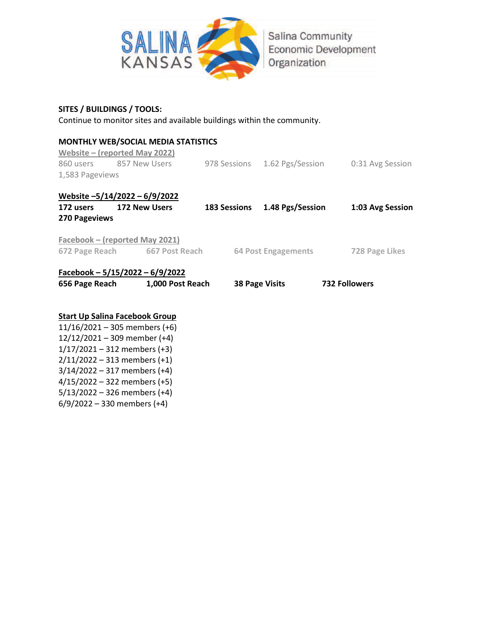

Salina Community **Economic Development** Organization

### **SITES / BUILDINGS / TOOLS:**

2/11/2022 – 313 members (+1) 3/14/2022 – 317 members (+4) 4/15/2022 – 322 members (+5) 5/13/2022 – 326 members (+4) 6/9/2022 – 330 members (+4)

Continue to monitor sites and available buildings within the community.

| Website $-$ (reported May 2022)       | <b>MONTHLY WEB/SOCIAL MEDIA STATISTICS</b> |                       |                               |  |                      |  |  |
|---------------------------------------|--------------------------------------------|-----------------------|-------------------------------|--|----------------------|--|--|
| 860 users 857 New Users               |                                            |                       | 978 Sessions 1.62 Pgs/Session |  | 0:31 Avg Session     |  |  |
| 1,583 Pageviews                       |                                            |                       |                               |  |                      |  |  |
| Website $-5/14/2022 - 6/9/2022$       |                                            |                       |                               |  |                      |  |  |
| 172 users                             | <b>172 New Users</b>                       |                       | 183 Sessions 1.48 Pgs/Session |  | 1:03 Avg Session     |  |  |
| <b>270 Pageviews</b>                  |                                            |                       |                               |  |                      |  |  |
| Facebook – (reported May 2021)        |                                            |                       |                               |  |                      |  |  |
|                                       | 672 Page Reach 667 Post Reach              |                       | 64 Post Engagements           |  | 728 Page Likes       |  |  |
| Facebook - $5/15/2022 - 6/9/2022$     |                                            |                       |                               |  |                      |  |  |
|                                       | 656 Page Reach 1,000 Post Reach            | <b>38 Page Visits</b> |                               |  | <b>732 Followers</b> |  |  |
|                                       |                                            |                       |                               |  |                      |  |  |
| <b>Start Up Salina Facebook Group</b> |                                            |                       |                               |  |                      |  |  |
| $11/16/2021 - 305$ members (+6)       |                                            |                       |                               |  |                      |  |  |
| $12/12/2021 - 309$ member (+4)        |                                            |                       |                               |  |                      |  |  |
| $1/17/2021 - 312$ members (+3)        |                                            |                       |                               |  |                      |  |  |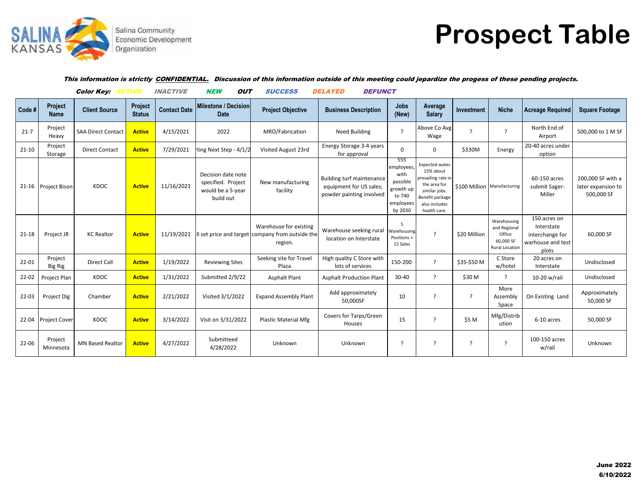

# **Prospect Table**

### This information is strictly CONFIDENTIAL. Discussion of this information outside of this meeting could jepardize the progess of these pending projects.

|           |                           | <b>Color Key: ACTIVE</b>  |                          | <b>INACTIVE</b>     | <b>NEW</b><br>Ουτ                                                          | <b>SUCCESS</b>                                                | <i><b>DELAYED</b></i><br><b>DEFUNCT</b>                                                 |                                                                                      |                                                                                                                                               |                             |                                                                      |                                                                             |                                                       |
|-----------|---------------------------|---------------------------|--------------------------|---------------------|----------------------------------------------------------------------------|---------------------------------------------------------------|-----------------------------------------------------------------------------------------|--------------------------------------------------------------------------------------|-----------------------------------------------------------------------------------------------------------------------------------------------|-----------------------------|----------------------------------------------------------------------|-----------------------------------------------------------------------------|-------------------------------------------------------|
| Code#     | Project<br><b>Name</b>    | <b>Client Source</b>      | Project<br><b>Status</b> | <b>Contact Date</b> | Milestone / Decision<br><b>Date</b>                                        | <b>Project Objective</b>                                      | <b>Business Description</b>                                                             | <b>Jobs</b><br>(New)                                                                 | Average<br><b>Salary</b>                                                                                                                      | Investment                  | <b>Niche</b>                                                         | <b>Acreage Required</b>                                                     | <b>Square Footage</b>                                 |
| $21 - 7$  | Project<br>Heavy          | <b>SAA Direct Contact</b> | <b>Active</b>            | 4/15/2021           | 2022                                                                       | MRO/Fabrication                                               | <b>Need Building</b>                                                                    | $\overline{?}$                                                                       | Above Co Avg<br>Wage                                                                                                                          | $\overline{\phantom{a}}$    | ?                                                                    | North End of<br>Airport                                                     | 500,000 to 1 M SF                                     |
| $21 - 10$ | Project<br>Storage        | <b>Direct Contact</b>     | <b>Active</b>            | 7/29/2021           | ting Next Step - 4/1/2                                                     | Visited August 23rd                                           | Energy Storage 3-4 years<br>for approval                                                | $\Omega$                                                                             | 0                                                                                                                                             | \$330M                      | Energy                                                               | 20-40 acres under<br>option                                                 |                                                       |
|           | 21-16 Project Bison       | KDOC                      | <b>Active</b>            | 11/16/2021          | Decision date note<br>specified. Project<br>would be a 5-year<br>build out | New manufacturing<br>facility                                 | <b>Building turf maintenance</b><br>equipment for US sales;<br>powder painting involved | 555<br>employees,<br>with<br>possible<br>growth up<br>to 740<br>employees<br>by 2030 | <b>Expected wates</b><br>15% about<br>prevailing rate in<br>the area for<br>similar jobs.<br>Benefit package<br>also includes<br>health care. | \$100 Million Manufacturing |                                                                      | 60-150 acres<br>submit Sager-<br>Miller                                     | 200,000 SF with a<br>later expansion to<br>500,000 SF |
| $21 - 18$ | Project JR                | <b>KC Realtor</b>         | <b>Active</b>            | 11/19/2021          | Il set price and target                                                    | Warehouse for existing<br>company from outside the<br>region. | Warehouse seeking rural<br>location on Interstate                                       | Warehousing<br>Positions +<br>15 Sales                                               | $\overline{ }$                                                                                                                                | \$20 Million                | Warehousing<br>and Regional<br>Office<br>60,000 SF<br>Rural Location | 150 acres on<br>Interstate<br>interchange for<br>warhouse and test<br>plots | 60,000 SF                                             |
| 22-01     | Project<br><b>Big Rig</b> | <b>Direct Call</b>        | <b>Active</b>            | 1/19/2022           | <b>Reviewing Sites</b>                                                     | Seeking site for Travel<br>Plaza                              | High quality C Store with<br>lots of services                                           | 150-200                                                                              | $\overline{?}$                                                                                                                                | \$35-\$50 M                 | C Store<br>w/hotel                                                   | 20 acres on<br>Interstate                                                   | Undisclosed                                           |
| $22 - 02$ | Project Plan              | KDOC                      | <b>Active</b>            | 1/31/2022           | Submitted 2/9/22                                                           | <b>Asphalt Plant</b>                                          | <b>Asphalt Production Plant</b>                                                         | 30-40                                                                                | $\overline{z}$                                                                                                                                | \$30 M                      | ?                                                                    | 10-20 w/rail                                                                | Undisclosed                                           |
| $22 - 03$ | Project Dig               | Chamber                   | <b>Active</b>            | 2/21/2022           | Visited 3/1/2022                                                           | <b>Expand Assembly Plant</b>                                  | Add approximately<br>50,000SF                                                           | 10                                                                                   | $\overline{\phantom{a}}$                                                                                                                      | ?                           | More<br>Assembly<br>Space                                            | On Existing Land                                                            | Approximately<br>50,000 SF                            |
| 22-04     | <b>Project Cover</b>      | KDOC                      | <b>Active</b>            | 3/14/2022           | Visit on 3/31/2022                                                         | <b>Plastic Material Mfg</b>                                   | Covers for Tarps/Green<br>Houses                                                        | 15                                                                                   | 2                                                                                                                                             | \$5 M                       | Mfg/Distrib<br>ution                                                 | 6-10 acres                                                                  | 50,000 SF                                             |
| $22 - 06$ | Project<br>Minnesota      | <b>MN Based Realtor</b>   | <b>Active</b>            | 4/27/2022           | Submitteed<br>4/28/2022                                                    | Unknown                                                       | Unknown                                                                                 | - 2                                                                                  | $\overline{\phantom{a}}$                                                                                                                      | ?                           | ?                                                                    | 100-150 acres<br>w/rail                                                     | Unknown                                               |